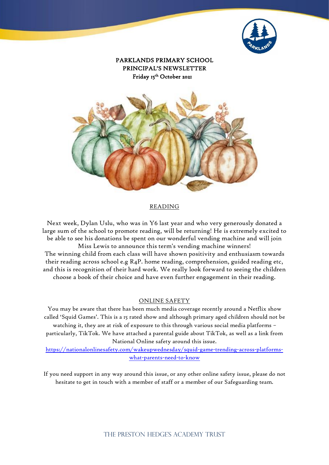

PARKLANDS PRIMARY SCHOOL PRINCIPAL'S NEWSLETTER Friday 15<sup>th</sup> October 2021



#### READING

Next week, Dylan Uslu, who was in Y6 last year and who very generously donated a large sum of the school to promote reading, will be returning! He is extremely excited to be able to see his donations be spent on our wonderful vending machine and will join Miss Lewis to announce this term's vending machine winners! The winning child from each class will have shown positivity and enthusiasm towards their reading across school e.g  $R_4P$ . home reading, comprehension, guided reading etc, and this is recognition of their hard work. We really look forward to seeing the children choose a book of their choice and have even further engagement in their reading.

#### ONLINE SAFETY

You may be aware that there has been much media coverage recently around a Netflix show called 'Squid Games'. This is a 15 rated show and although primary aged children should not be watching it, they are at risk of exposure to this through various social media platforms – particularly, TikTok. We have attached a parental guide about TikTok, as well as a link from National Online safety around this issue.

[https://nationalonlinesafety.com/wakeupwednesday/squid-game-trending-across-platforms](https://nationalonlinesafety.com/wakeupwednesday/squid-game-trending-across-platforms-what-parents-need-to-know)[what-parents-need-to-know](https://nationalonlinesafety.com/wakeupwednesday/squid-game-trending-across-platforms-what-parents-need-to-know)

If you need support in any way around this issue, or any other online safety issue, please do not hesitate to get in touch with a member of staff or a member of our Safeguarding team.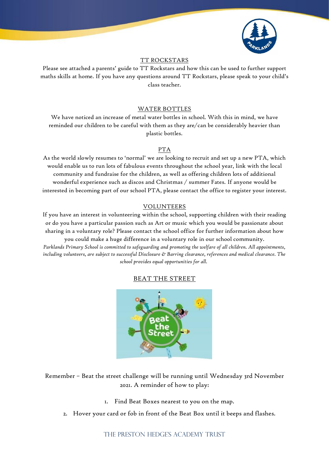

## TT ROCKSTARS

Please see attached a parents' guide to TT Rockstars and how this can be used to further support maths skills at home. If you have any questions around TT Rockstars, please speak to your child's class teacher.

#### WATER BOTTLES

We have noticed an increase of metal water bottles in school. With this in mind, we have reminded our children to be careful with them as they are/can be considerably heavier than plastic bottles.

## PTA

As the world slowly resumes to 'normal' we are looking to recruit and set up a new PTA, which would enable us to run lots of fabulous events throughout the school year, link with the local community and fundraise for the children, as well as offering children lots of additional wonderful experience such as discos and Christmas / summer Fates. If anyone would be interested in becoming part of our school PTA, please contact the office to register your interest.

## VOLUNTEERS

If you have an interest in volunteering within the school, supporting children with their reading or do you have a particular passion such as Art or music which you would be passionate about sharing in a voluntary role? Please contact the school office for further information about how

you could make a huge difference in a voluntary role in our school community. *Parklands Primary School is committed to safeguarding and promoting the welfare of all children. All appointments, including volunteers, are subject to successful Disclosure & Barring clearance, references and medical clearance. The school provides equal opportunities for all.*

## BEAT THE STREET



Remember – Beat the street challenge will be running until Wednesday 3rd November 2021. A reminder of how to play:

- 1. Find Beat Boxes nearest to you on the map.
- 2. Hover your card or fob in front of the Beat Box until it beeps and flashes.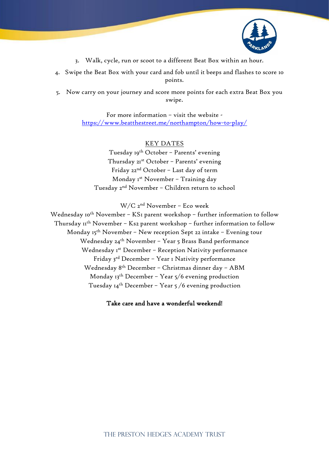

- 3. Walk, cycle, run or scoot to a different Beat Box within an hour.
- 4. Swipe the Beat Box with your card and fob until it beeps and flashes to score 10 points.
- 5. Now carry on your journey and score more points for each extra Beat Box you swipe.

For more information – visit the website <https://www.beatthestreet.me/northampton/how-to-play/>

## KEY DATES

Tuesday 19th October – Parents' evening Thursday 21st October – Parents' evening Friday 22nd October – Last day of term Monday 1st November – Training day Tuesday 2nd November – Children return to school

W/C 2nd November – Eco week

Wednesday 10<sup>th</sup> November - KS1 parent workshop - further information to follow Thursday 11<sup>th</sup> November - Ks2 parent workshop - further information to follow Monday 15<sup>th</sup> November - New reception Sept 22 intake - Evening tour Wednesday 24th November – Year 5 Brass Band performance Wednesday Ist December - Reception Nativity performance Friday 3rd December – Year 1 Nativity performance Wednesday 8th December – Christmas dinner day – ABM Monday  $13<sup>th</sup>$  December – Year  $5/6$  evening production Tuesday  $I4^{th}$  December - Year 5/6 evening production

Take care and have a wonderful weekend!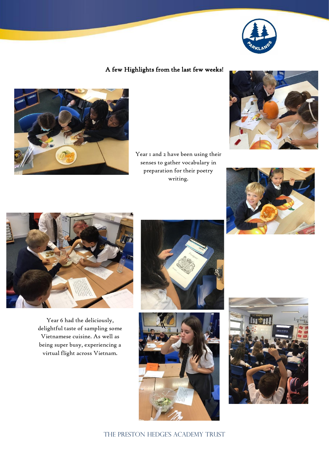

# A few Highlights from the last few weeks!



Year I and 2 have been using their senses to gather vocabulary in preparation for their poetry writing.







Year 6 had the deliciously, delightful taste of sampling some Vietnamese cuisine. As well as being super busy, experiencing a virtual flight across Vietnam.







THE PRESTON HEDGE'S ACADEMY TRUST